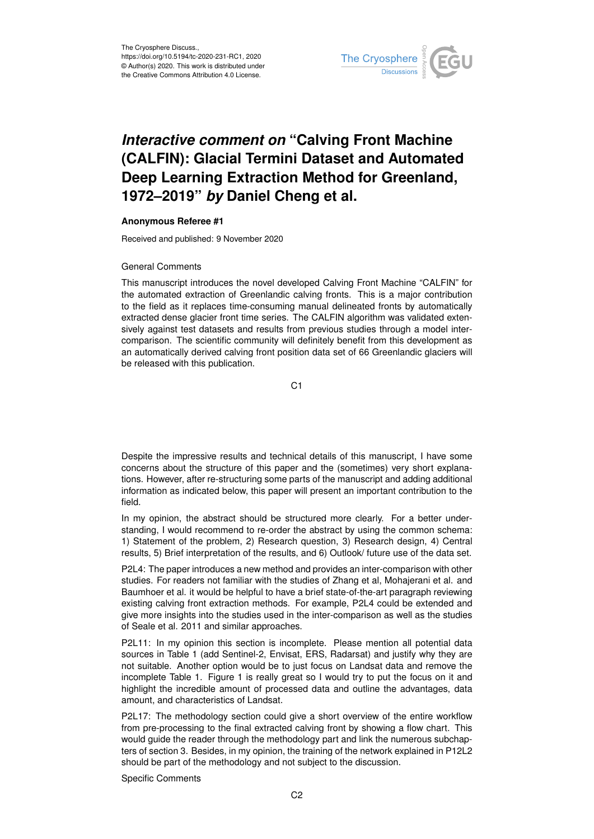

## *Interactive comment on* **"Calving Front Machine (CALFIN): Glacial Termini Dataset and Automated Deep Learning Extraction Method for Greenland, 1972–2019"** *by* **Daniel Cheng et al.**

## **Anonymous Referee #1**

Received and published: 9 November 2020

## General Comments

This manuscript introduces the novel developed Calving Front Machine "CALFIN" for the automated extraction of Greenlandic calving fronts. This is a major contribution to the field as it replaces time-consuming manual delineated fronts by automatically extracted dense glacier front time series. The CALFIN algorithm was validated extensively against test datasets and results from previous studies through a model intercomparison. The scientific community will definitely benefit from this development as an automatically derived calving front position data set of 66 Greenlandic glaciers will be released with this publication.

C1

Despite the impressive results and technical details of this manuscript, I have some concerns about the structure of this paper and the (sometimes) very short explanations. However, after re-structuring some parts of the manuscript and adding additional information as indicated below, this paper will present an important contribution to the field.

In my opinion, the abstract should be structured more clearly. For a better understanding, I would recommend to re-order the abstract by using the common schema: 1) Statement of the problem, 2) Research question, 3) Research design, 4) Central results, 5) Brief interpretation of the results, and 6) Outlook/ future use of the data set.

P2L4: The paper introduces a new method and provides an inter-comparison with other studies. For readers not familiar with the studies of Zhang et al, Mohajerani et al. and Baumhoer et al. it would be helpful to have a brief state-of-the-art paragraph reviewing existing calving front extraction methods. For example, P2L4 could be extended and give more insights into the studies used in the inter-comparison as well as the studies of Seale et al. 2011 and similar approaches.

P2L11: In my opinion this section is incomplete. Please mention all potential data sources in Table 1 (add Sentinel-2, Envisat, ERS, Radarsat) and justify why they are not suitable. Another option would be to just focus on Landsat data and remove the incomplete Table 1. Figure 1 is really great so I would try to put the focus on it and highlight the incredible amount of processed data and outline the advantages, data amount, and characteristics of Landsat.

P2L17: The methodology section could give a short overview of the entire workflow from pre-processing to the final extracted calving front by showing a flow chart. This would guide the reader through the methodology part and link the numerous subchapters of section 3. Besides, in my opinion, the training of the network explained in P12L2 should be part of the methodology and not subject to the discussion.

Specific Comments